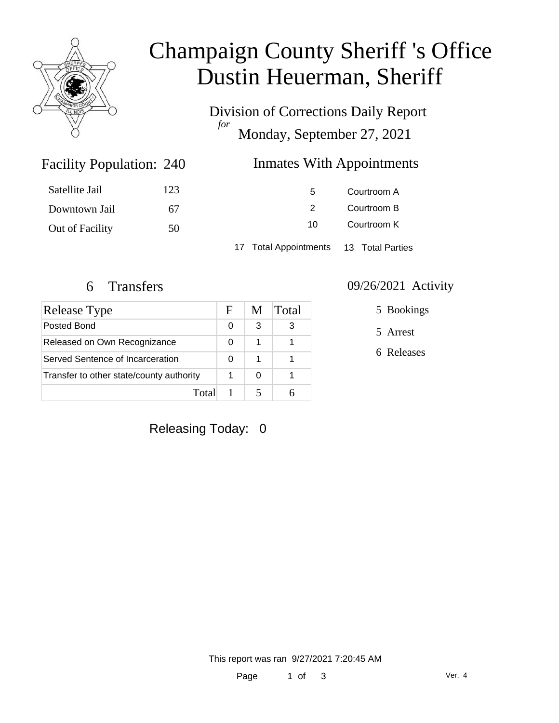

# Champaign County Sheriff 's Office Dustin Heuerman, Sheriff

Division of Corrections Daily Report *for* Monday, September 27, 2021

### Inmates With Appointments

| Satellite Jail  | 123 | 5                                      | Courtroom A |  |
|-----------------|-----|----------------------------------------|-------------|--|
| Downtown Jail   | 67  | $\mathcal{P}$                          | Courtroom B |  |
| Out of Facility | 50  | 10                                     | Courtroom K |  |
|                 |     | 17 Total Appointments 13 Total Parties |             |  |

Facility Population: 240

| <b>Release Type</b>                      | F | M | Total |
|------------------------------------------|---|---|-------|
| Posted Bond                              | 0 | 3 | 3     |
| Released on Own Recognizance             |   | 1 |       |
| Served Sentence of Incarceration         |   | 1 |       |
| Transfer to other state/county authority |   | 0 |       |
| Total                                    |   |   |       |

#### 6 Transfers 09/26/2021 Activity

5 Bookings

5 Arrest

6 Releases

Releasing Today: 0

This report was ran 9/27/2021 7:20:45 AM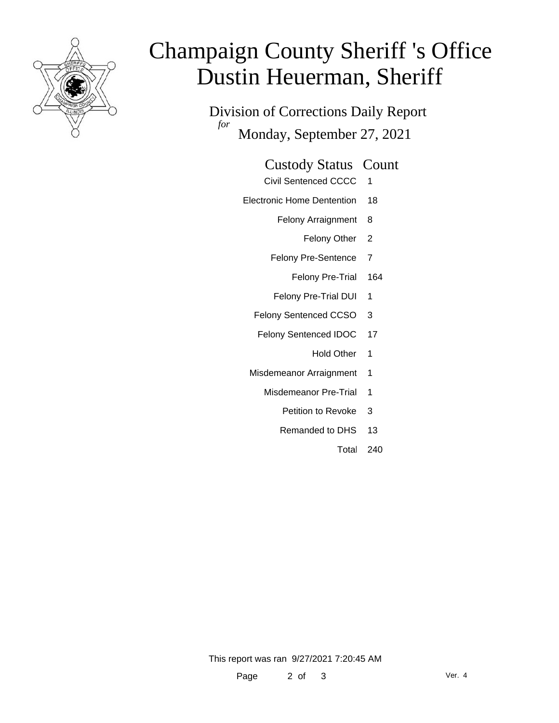

# Champaign County Sheriff 's Office Dustin Heuerman, Sheriff

Division of Corrections Daily Report *for* Monday, September 27, 2021

#### Custody Status Count

- Civil Sentenced CCCC 1
- Electronic Home Dentention 18
	- Felony Arraignment 8
		- Felony Other 2
	- Felony Pre-Sentence 7
		- Felony Pre-Trial 164
	- Felony Pre-Trial DUI 1
	- Felony Sentenced CCSO 3
	- Felony Sentenced IDOC 17
		- Hold Other 1
	- Misdemeanor Arraignment 1
		- Misdemeanor Pre-Trial 1
			- Petition to Revoke 3
			- Remanded to DHS 13
				- Total 240

This report was ran 9/27/2021 7:20:45 AM